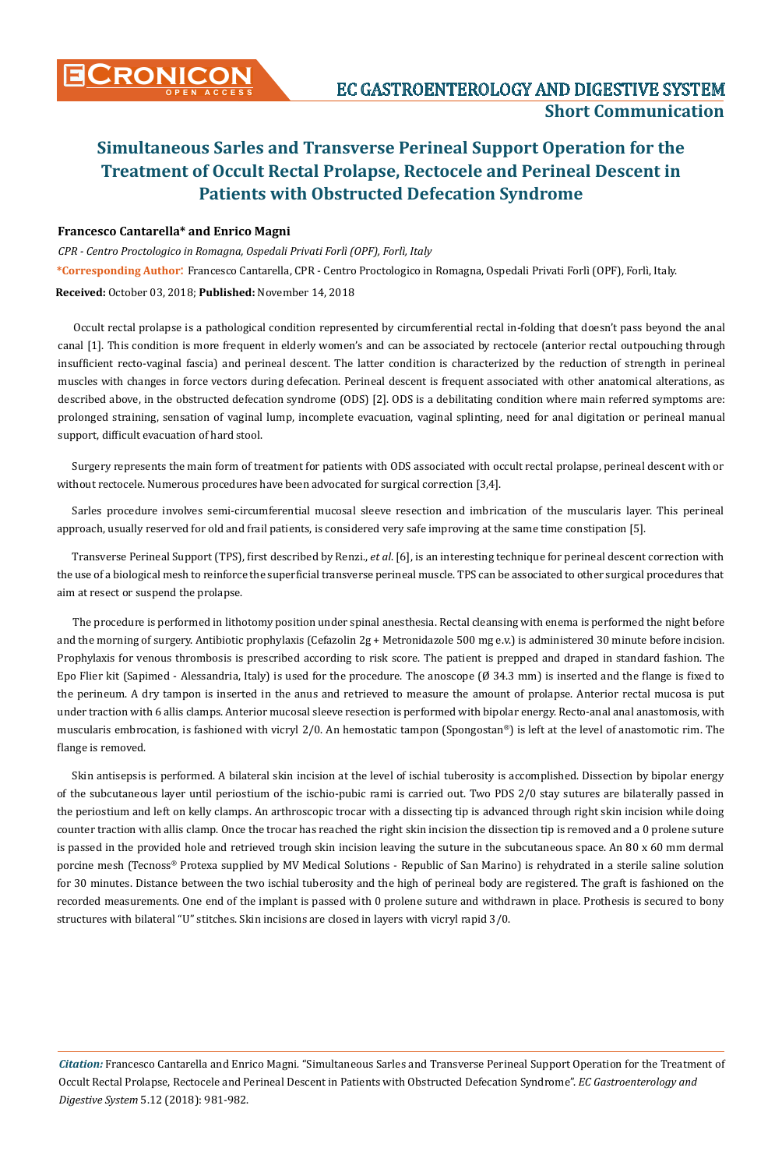# **Simultaneous Sarles and Transverse Perineal Support Operation for the Treatment of Occult Rectal Prolapse, Rectocele and Perineal Descent in Patients with Obstructed Defecation Syndrome**

### **Francesco Cantarella\* and Enrico Magni**

*CPR - Centro Proctologico in Romagna, Ospedali Privati Forlì (OPF), Forlì, Italy*  **\*Corresponding Author**: Francesco Cantarella, CPR - Centro Proctologico in Romagna, Ospedali Privati Forlì (OPF), Forlì, Italy. **Received:** October 03, 2018; **Published:** November 14, 2018

Occult rectal prolapse is a pathological condition represented by circumferential rectal in-folding that doesn't pass beyond the anal canal [1]. This condition is more frequent in elderly women's and can be associated by rectocele (anterior rectal outpouching through insufficient recto-vaginal fascia) and perineal descent. The latter condition is characterized by the reduction of strength in perineal muscles with changes in force vectors during defecation. Perineal descent is frequent associated with other anatomical alterations, as described above, in the obstructed defecation syndrome (ODS) [2]. ODS is a debilitating condition where main referred symptoms are: prolonged straining, sensation of vaginal lump, incomplete evacuation, vaginal splinting, need for anal digitation or perineal manual support, difficult evacuation of hard stool.

Surgery represents the main form of treatment for patients with ODS associated with occult rectal prolapse, perineal descent with or without rectocele. Numerous procedures have been advocated for surgical correction [3,4].

Sarles procedure involves semi-circumferential mucosal sleeve resection and imbrication of the muscularis layer. This perineal approach, usually reserved for old and frail patients, is considered very safe improving at the same time constipation [5].

Transverse Perineal Support (TPS), first described by Renzi., *et al*. [6], is an interesting technique for perineal descent correction with the use of a biological mesh to reinforce the superficial transverse perineal muscle. TPS can be associated to other surgical procedures that aim at resect or suspend the prolapse.

The procedure is performed in lithotomy position under spinal anesthesia. Rectal cleansing with enema is performed the night before and the morning of surgery. Antibiotic prophylaxis (Cefazolin 2g + Metronidazole 500 mg e.v.) is administered 30 minute before incision. Prophylaxis for venous thrombosis is prescribed according to risk score. The patient is prepped and draped in standard fashion. The Epo Flier kit (Sapimed - Alessandria, Italy) is used for the procedure. The anoscope (Ø 34.3 mm) is inserted and the flange is fixed to the perineum. A dry tampon is inserted in the anus and retrieved to measure the amount of prolapse. Anterior rectal mucosa is put under traction with 6 allis clamps. Anterior mucosal sleeve resection is performed with bipolar energy. Recto-anal anal anastomosis, with muscularis embrocation, is fashioned with vicryl 2/0. An hemostatic tampon (Spongostan®) is left at the level of anastomotic rim. The flange is removed.

Skin antisepsis is performed. A bilateral skin incision at the level of ischial tuberosity is accomplished. Dissection by bipolar energy of the subcutaneous layer until periostium of the ischio-pubic rami is carried out. Two PDS 2/0 stay sutures are bilaterally passed in the periostium and left on kelly clamps. An arthroscopic trocar with a dissecting tip is advanced through right skin incision while doing counter traction with allis clamp. Once the trocar has reached the right skin incision the dissection tip is removed and a 0 prolene suture is passed in the provided hole and retrieved trough skin incision leaving the suture in the subcutaneous space. An 80 x 60 mm dermal porcine mesh (Tecnoss® Protexa supplied by MV Medical Solutions - Republic of San Marino) is rehydrated in a sterile saline solution for 30 minutes. Distance between the two ischial tuberosity and the high of perineal body are registered. The graft is fashioned on the recorded measurements. One end of the implant is passed with 0 prolene suture and withdrawn in place. Prothesis is secured to bony structures with bilateral "U" stitches. Skin incisions are closed in layers with vicryl rapid 3/0.

*Citation:* Francesco Cantarella and Enrico Magni*.* "Simultaneous Sarles and Transverse Perineal Support Operation for the Treatment of Occult Rectal Prolapse, Rectocele and Perineal Descent in Patients with Obstructed Defecation Syndrome". *EC Gastroenterology and Digestive System* 5.12 (2018): 981-982.